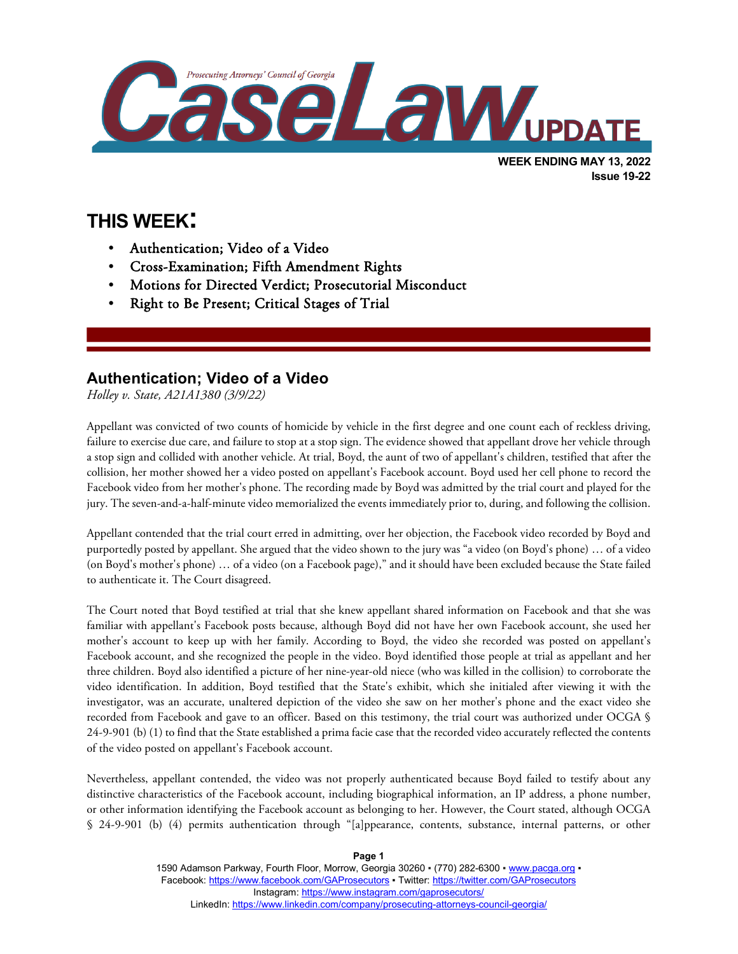

# **THIS WEEK:**

l

- Authentication; Video of a Video
- Cross-Examination; Fifth Amendment Rights
- Motions for Directed Verdict; Prosecutorial Misconduct
- Right to Be Present; Critical Stages of Trial

#### **Authentication; Video of a Video**

*Holley v. State, A21A1380 (3/9/22)*

Appellant was convicted of two counts of homicide by vehicle in the first degree and one count each of reckless driving, failure to exercise due care, and failure to stop at a stop sign. The evidence showed that appellant drove her vehicle through a stop sign and collided with another vehicle. At trial, Boyd, the aunt of two of appellant's children, testified that after the collision, her mother showed her a video posted on appellant's Facebook account. Boyd used her cell phone to record the Facebook video from her mother's phone. The recording made by Boyd was admitted by the trial court and played for the jury. The seven-and-a-half-minute video memorialized the events immediately prior to, during, and following the collision.

Appellant contended that the trial court erred in admitting, over her objection, the Facebook video recorded by Boyd and purportedly posted by appellant. She argued that the video shown to the jury was "a video (on Boyd's phone) … of a video (on Boyd's mother's phone) … of a video (on a Facebook page)," and it should have been excluded because the State failed to authenticate it. The Court disagreed.

The Court noted that Boyd testified at trial that she knew appellant shared information on Facebook and that she was familiar with appellant's Facebook posts because, although Boyd did not have her own Facebook account, she used her mother's account to keep up with her family. According to Boyd, the video she recorded was posted on appellant's Facebook account, and she recognized the people in the video. Boyd identified those people at trial as appellant and her three children. Boyd also identified a picture of her nine-year-old niece (who was killed in the collision) to corroborate the video identification. In addition, Boyd testified that the State's exhibit, which she initialed after viewing it with the investigator, was an accurate, unaltered depiction of the video she saw on her mother's phone and the exact video she recorded from Facebook and gave to an officer. Based on this testimony, the trial court was authorized under OCGA § 24-9-901 (b) (1) to find that the State established a prima facie case that the recorded video accurately reflected the contents of the video posted on appellant's Facebook account.

Nevertheless, appellant contended, the video was not properly authenticated because Boyd failed to testify about any distinctive characteristics of the Facebook account, including biographical information, an IP address, a phone number, or other information identifying the Facebook account as belonging to her. However, the Court stated, although OCGA § 24-9-901 (b) (4) permits authentication through "[a]ppearance, contents, substance, internal patterns, or other

> 1590 Adamson Parkway, Fourth Floor, Morrow, Georgia 30260 · (770) 282-6300 · [www.pacga.org](http://www.pacga.org/) · Facebook[: https://www.facebook.com/GAProsecutors](https://www.facebook.com/GAProsecutors) ▪ Twitter:<https://twitter.com/GAProsecutors> Instagram[: https://www.instagram.com/gaprosecutors/](https://www.instagram.com/gaprosecutors/) LinkedIn:<https://www.linkedin.com/company/prosecuting-attorneys-council-georgia/>

**Page 1**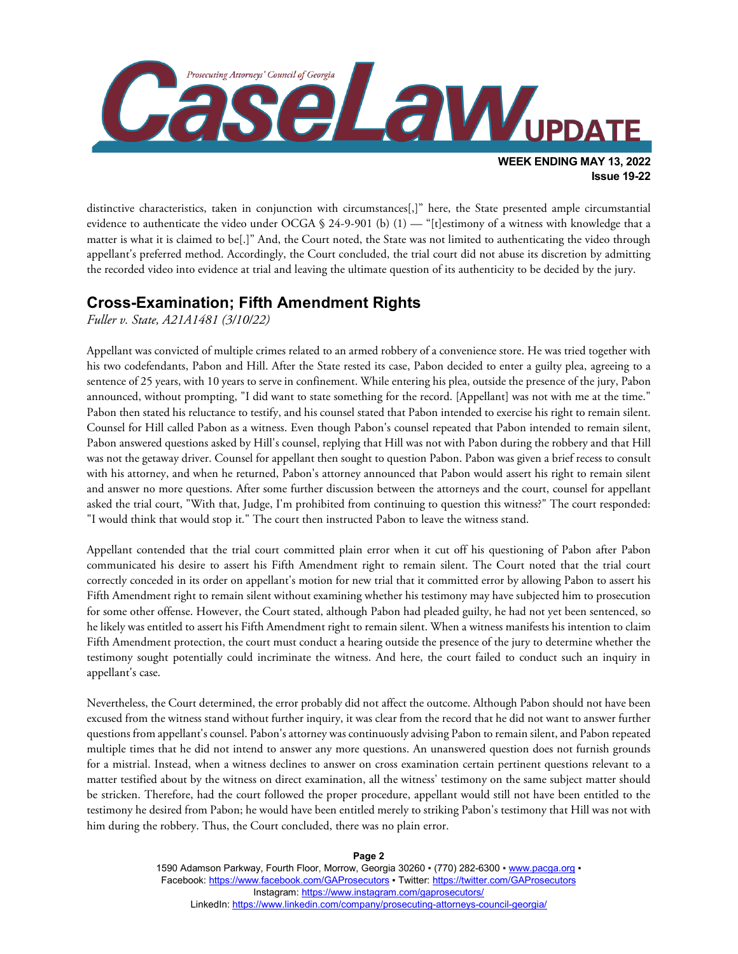

distinctive characteristics, taken in conjunction with circumstances[,]" here, the State presented ample circumstantial evidence to authenticate the video under OCGA § 24-9-901 (b) (1) — "[t]estimony of a witness with knowledge that a matter is what it is claimed to be[.]" And, the Court noted, the State was not limited to authenticating the video through appellant's preferred method. Accordingly, the Court concluded, the trial court did not abuse its discretion by admitting the recorded video into evidence at trial and leaving the ultimate question of its authenticity to be decided by the jury.

### **Cross-Examination; Fifth Amendment Rights**

*Fuller v. State, A21A1481 (3/10/22)*

Appellant was convicted of multiple crimes related to an armed robbery of a convenience store. He was tried together with his two codefendants, Pabon and Hill. After the State rested its case, Pabon decided to enter a guilty plea, agreeing to a sentence of 25 years, with 10 years to serve in confinement. While entering his plea, outside the presence of the jury, Pabon announced, without prompting, "I did want to state something for the record. [Appellant] was not with me at the time." Pabon then stated his reluctance to testify, and his counsel stated that Pabon intended to exercise his right to remain silent. Counsel for Hill called Pabon as a witness. Even though Pabon's counsel repeated that Pabon intended to remain silent, Pabon answered questions asked by Hill's counsel, replying that Hill was not with Pabon during the robbery and that Hill was not the getaway driver. Counsel for appellant then sought to question Pabon. Pabon was given a brief recess to consult with his attorney, and when he returned, Pabon's attorney announced that Pabon would assert his right to remain silent and answer no more questions. After some further discussion between the attorneys and the court, counsel for appellant asked the trial court, "With that, Judge, I'm prohibited from continuing to question this witness?" The court responded: "I would think that would stop it." The court then instructed Pabon to leave the witness stand.

Appellant contended that the trial court committed plain error when it cut off his questioning of Pabon after Pabon communicated his desire to assert his Fifth Amendment right to remain silent. The Court noted that the trial court correctly conceded in its order on appellant's motion for new trial that it committed error by allowing Pabon to assert his Fifth Amendment right to remain silent without examining whether his testimony may have subjected him to prosecution for some other offense. However, the Court stated, although Pabon had pleaded guilty, he had not yet been sentenced, so he likely was entitled to assert his Fifth Amendment right to remain silent. When a witness manifests his intention to claim Fifth Amendment protection, the court must conduct a hearing outside the presence of the jury to determine whether the testimony sought potentially could incriminate the witness. And here, the court failed to conduct such an inquiry in appellant's case.

Nevertheless, the Court determined, the error probably did not affect the outcome. Although Pabon should not have been excused from the witness stand without further inquiry, it was clear from the record that he did not want to answer further questions from appellant's counsel. Pabon's attorney was continuously advising Pabon to remain silent, and Pabon repeated multiple times that he did not intend to answer any more questions. An unanswered question does not furnish grounds for a mistrial. Instead, when a witness declines to answer on cross examination certain pertinent questions relevant to a matter testified about by the witness on direct examination, all the witness' testimony on the same subject matter should be stricken. Therefore, had the court followed the proper procedure, appellant would still not have been entitled to the testimony he desired from Pabon; he would have been entitled merely to striking Pabon's testimony that Hill was not with him during the robbery. Thus, the Court concluded, there was no plain error.

**Page 2**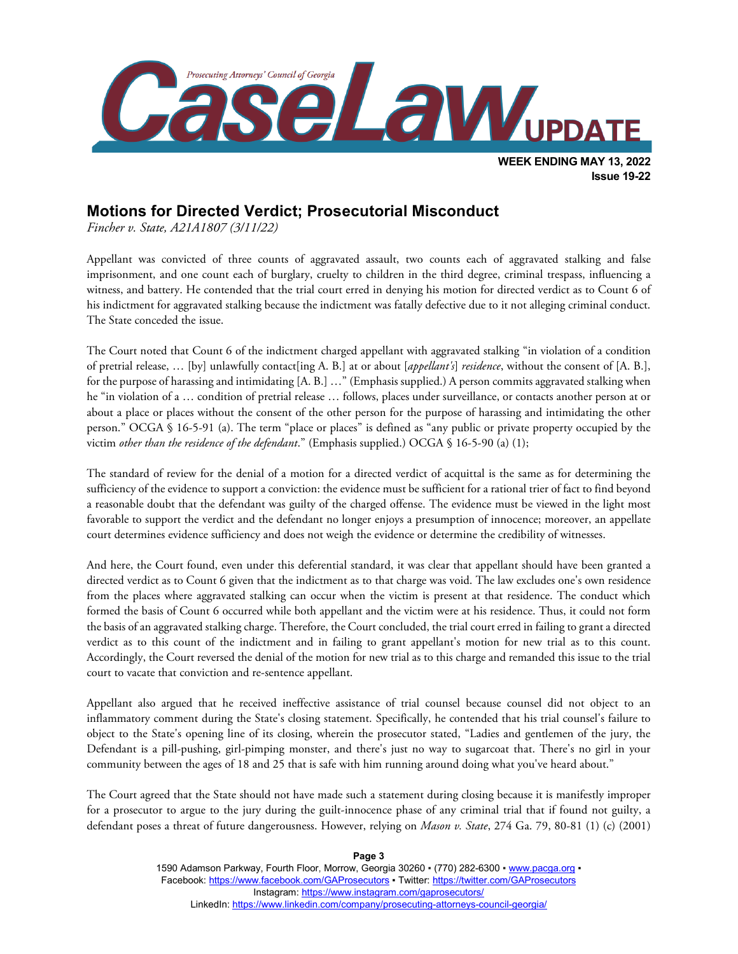

## **Motions for Directed Verdict; Prosecutorial Misconduct**

*Fincher v. State, A21A1807 (3/11/22)*

Appellant was convicted of three counts of aggravated assault, two counts each of aggravated stalking and false imprisonment, and one count each of burglary, cruelty to children in the third degree, criminal trespass, influencing a witness, and battery. He contended that the trial court erred in denying his motion for directed verdict as to Count 6 of his indictment for aggravated stalking because the indictment was fatally defective due to it not alleging criminal conduct. The State conceded the issue.

The Court noted that Count 6 of the indictment charged appellant with aggravated stalking "in violation of a condition of pretrial release, … [by] unlawfully contact[ing A. B.] at or about [*appellant's*] *residence*, without the consent of [A. B.], for the purpose of harassing and intimidating [A. B.] …" (Emphasis supplied.) A person commits aggravated stalking when he "in violation of a … condition of pretrial release … follows, places under surveillance, or contacts another person at or about a place or places without the consent of the other person for the purpose of harassing and intimidating the other person." OCGA § 16-5-91 (a). The term "place or places" is defined as "any public or private property occupied by the victim *other than the residence of the defendant*." (Emphasis supplied.) OCGA § 16-5-90 (a) (1);

The standard of review for the denial of a motion for a directed verdict of acquittal is the same as for determining the sufficiency of the evidence to support a conviction: the evidence must be sufficient for a rational trier of fact to find beyond a reasonable doubt that the defendant was guilty of the charged offense. The evidence must be viewed in the light most favorable to support the verdict and the defendant no longer enjoys a presumption of innocence; moreover, an appellate court determines evidence sufficiency and does not weigh the evidence or determine the credibility of witnesses.

And here, the Court found, even under this deferential standard, it was clear that appellant should have been granted a directed verdict as to Count 6 given that the indictment as to that charge was void. The law excludes one's own residence from the places where aggravated stalking can occur when the victim is present at that residence. The conduct which formed the basis of Count 6 occurred while both appellant and the victim were at his residence. Thus, it could not form the basis of an aggravated stalking charge. Therefore, the Court concluded, the trial court erred in failing to grant a directed verdict as to this count of the indictment and in failing to grant appellant's motion for new trial as to this count. Accordingly, the Court reversed the denial of the motion for new trial as to this charge and remanded this issue to the trial court to vacate that conviction and re-sentence appellant.

Appellant also argued that he received ineffective assistance of trial counsel because counsel did not object to an inflammatory comment during the State's closing statement. Specifically, he contended that his trial counsel's failure to object to the State's opening line of its closing, wherein the prosecutor stated, "Ladies and gentlemen of the jury, the Defendant is a pill-pushing, girl-pimping monster, and there's just no way to sugarcoat that. There's no girl in your community between the ages of 18 and 25 that is safe with him running around doing what you've heard about."

The Court agreed that the State should not have made such a statement during closing because it is manifestly improper for a prosecutor to argue to the jury during the guilt-innocence phase of any criminal trial that if found not guilty, a defendant poses a threat of future dangerousness. However, relying on *Mason v. State*, 274 Ga. 79, 80-81 (1) (c) (2001)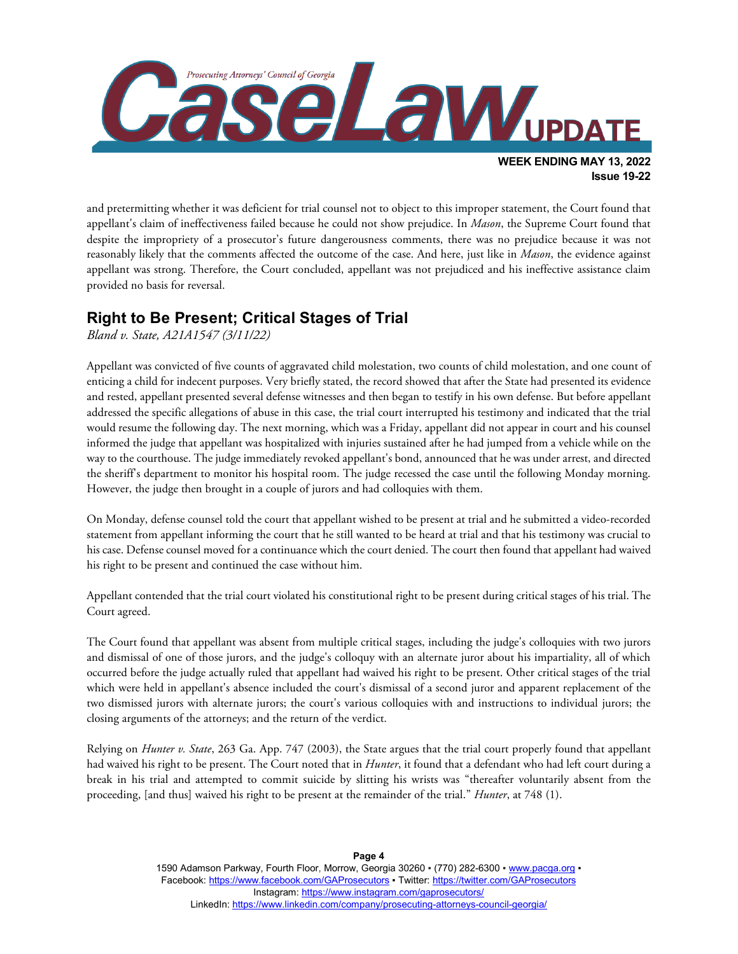

and pretermitting whether it was deficient for trial counsel not to object to this improper statement, the Court found that appellant's claim of ineffectiveness failed because he could not show prejudice. In *Mason*, the Supreme Court found that despite the impropriety of a prosecutor's future dangerousness comments, there was no prejudice because it was not reasonably likely that the comments affected the outcome of the case. And here, just like in *Mason*, the evidence against appellant was strong. Therefore, the Court concluded, appellant was not prejudiced and his ineffective assistance claim provided no basis for reversal.

## **Right to Be Present; Critical Stages of Trial**

*Bland v. State, A21A1547 (3/11/22)*

Appellant was convicted of five counts of aggravated child molestation, two counts of child molestation, and one count of enticing a child for indecent purposes. Very briefly stated, the record showed that after the State had presented its evidence and rested, appellant presented several defense witnesses and then began to testify in his own defense. But before appellant addressed the specific allegations of abuse in this case, the trial court interrupted his testimony and indicated that the trial would resume the following day. The next morning, which was a Friday, appellant did not appear in court and his counsel informed the judge that appellant was hospitalized with injuries sustained after he had jumped from a vehicle while on the way to the courthouse. The judge immediately revoked appellant's bond, announced that he was under arrest, and directed the sheriff's department to monitor his hospital room. The judge recessed the case until the following Monday morning. However, the judge then brought in a couple of jurors and had colloquies with them.

On Monday, defense counsel told the court that appellant wished to be present at trial and he submitted a video-recorded statement from appellant informing the court that he still wanted to be heard at trial and that his testimony was crucial to his case. Defense counsel moved for a continuance which the court denied. The court then found that appellant had waived his right to be present and continued the case without him.

Appellant contended that the trial court violated his constitutional right to be present during critical stages of his trial. The Court agreed.

The Court found that appellant was absent from multiple critical stages, including the judge's colloquies with two jurors and dismissal of one of those jurors, and the judge's colloquy with an alternate juror about his impartiality, all of which occurred before the judge actually ruled that appellant had waived his right to be present. Other critical stages of the trial which were held in appellant's absence included the court's dismissal of a second juror and apparent replacement of the two dismissed jurors with alternate jurors; the court's various colloquies with and instructions to individual jurors; the closing arguments of the attorneys; and the return of the verdict.

Relying on *Hunter v. State*, 263 Ga. App. 747 (2003), the State argues that the trial court properly found that appellant had waived his right to be present. The Court noted that in *Hunter*, it found that a defendant who had left court during a break in his trial and attempted to commit suicide by slitting his wrists was "thereafter voluntarily absent from the proceeding, [and thus] waived his right to be present at the remainder of the trial." *Hunter*, at 748 (1).